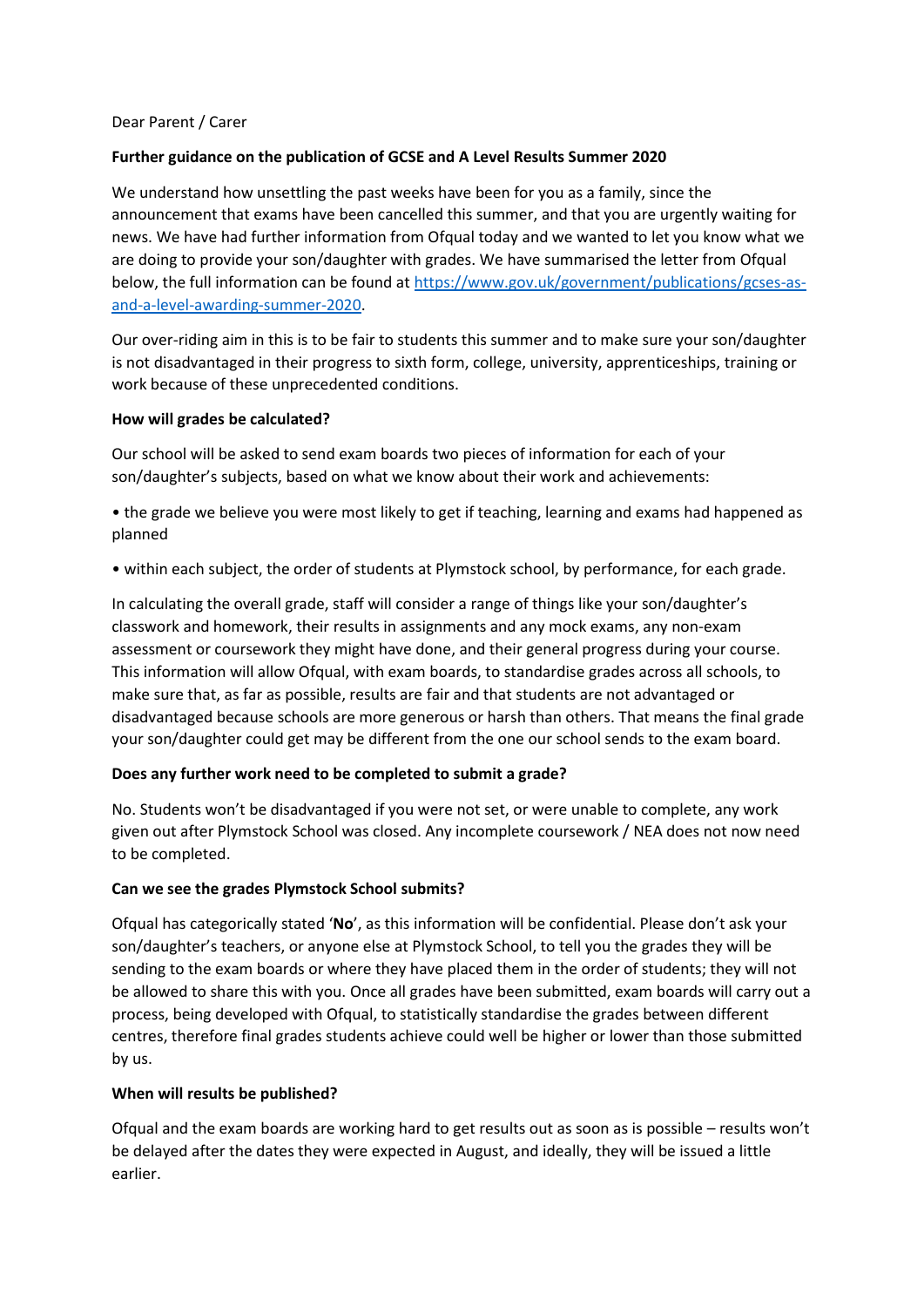## Dear Parent / Carer

# **Further guidance on the publication of GCSE and A Level Results Summer 2020**

We understand how unsettling the past weeks have been for you as a family, since the announcement that exams have been cancelled this summer, and that you are urgently waiting for news. We have had further information from Ofqual today and we wanted to let you know what we are doing to provide your son/daughter with grades. We have summarised the letter from Ofqual below, the full information can be found a[t https://www.gov.uk/government/publications/gcses-as](https://www.gov.uk/government/publications/gcses-as-and-a-level-awarding-summer-2020)[and-a-level-awarding-summer-2020.](https://www.gov.uk/government/publications/gcses-as-and-a-level-awarding-summer-2020)

Our over-riding aim in this is to be fair to students this summer and to make sure your son/daughter is not disadvantaged in their progress to sixth form, college, university, apprenticeships, training or work because of these unprecedented conditions.

## **How will grades be calculated?**

Our school will be asked to send exam boards two pieces of information for each of your son/daughter's subjects, based on what we know about their work and achievements:

• the grade we believe you were most likely to get if teaching, learning and exams had happened as planned

• within each subject, the order of students at Plymstock school, by performance, for each grade.

In calculating the overall grade, staff will consider a range of things like your son/daughter's classwork and homework, their results in assignments and any mock exams, any non-exam assessment or coursework they might have done, and their general progress during your course. This information will allow Ofqual, with exam boards, to standardise grades across all schools, to make sure that, as far as possible, results are fair and that students are not advantaged or disadvantaged because schools are more generous or harsh than others. That means the final grade your son/daughter could get may be different from the one our school sends to the exam board.

## **Does any further work need to be completed to submit a grade?**

No. Students won't be disadvantaged if you were not set, or were unable to complete, any work given out after Plymstock School was closed. Any incomplete coursework / NEA does not now need to be completed.

## **Can we see the grades Plymstock School submits?**

Ofqual has categorically stated '**No**', as this information will be confidential. Please don't ask your son/daughter's teachers, or anyone else at Plymstock School, to tell you the grades they will be sending to the exam boards or where they have placed them in the order of students; they will not be allowed to share this with you. Once all grades have been submitted, exam boards will carry out a process, being developed with Ofqual, to statistically standardise the grades between different centres, therefore final grades students achieve could well be higher or lower than those submitted by us.

## **When will results be published?**

Ofqual and the exam boards are working hard to get results out as soon as is possible – results won't be delayed after the dates they were expected in August, and ideally, they will be issued a little earlier.